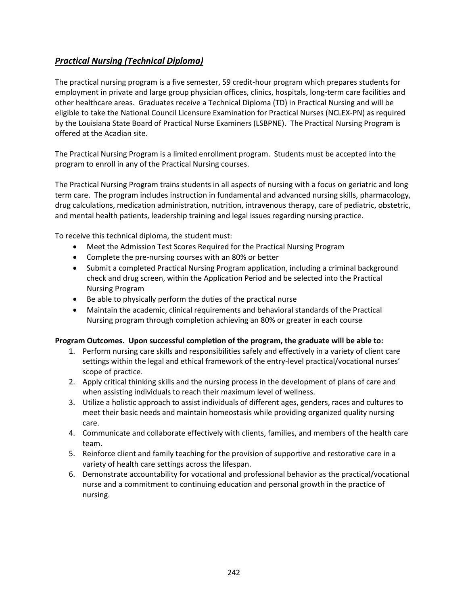## <span id="page-0-0"></span>*[Practical Nursing \(Technical Diploma\)](#page-0-0)*

The practical nursing program is a five semester, 59 credit-hour program which prepares students for employment in private and large group physician offices, clinics, hospitals, long-term care facilities and other healthcare areas. Graduates receive a Technical Diploma (TD) in Practical Nursing and will be eligible to take the National Council Licensure Examination for Practical Nurses (NCLEX-PN) as required by the Louisiana State Board of Practical Nurse Examiners (LSBPNE). The Practical Nursing Program is offered at the Acadian site.

The Practical Nursing Program is a limited enrollment program. Students must be accepted into the program to enroll in any of the Practical Nursing courses.

The Practical Nursing Program trains students in all aspects of nursing with a focus on geriatric and long term care. The program includes instruction in fundamental and advanced nursing skills, pharmacology, drug calculations, medication administration, nutrition, intravenous therapy, care of pediatric, obstetric, and mental health patients, leadership training and legal issues regarding nursing practice.

To receive this technical diploma, the student must:

- Meet the Admission Test Scores Required for the Practical Nursing Program
- Complete the pre-nursing courses with an 80% or better
- Submit a completed Practical Nursing Program application, including a criminal background check and drug screen, within the Application Period and be selected into the Practical Nursing Program
- Be able to physically perform the duties of the practical nurse
- Maintain the academic, clinical requirements and behavioral standards of the Practical Nursing program through completion achieving an 80% or greater in each course

## **Program Outcomes. Upon successful completion of the program, the graduate will be able to:**

- 1. Perform nursing care skills and responsibilities safely and effectively in a variety of client care settings within the legal and ethical framework of the entry-level practical/vocational nurses' scope of practice.
- 2. Apply critical thinking skills and the nursing process in the development of plans of care and when assisting individuals to reach their maximum level of wellness.
- 3. Utilize a holistic approach to assist individuals of different ages, genders, races and cultures to meet their basic needs and maintain homeostasis while providing organized quality nursing care.
- 4. Communicate and collaborate effectively with clients, families, and members of the health care team.
- 5. Reinforce client and family teaching for the provision of supportive and restorative care in a variety of health care settings across the lifespan.
- 6. Demonstrate accountability for vocational and professional behavior as the practical/vocational nurse and a commitment to continuing education and personal growth in the practice of nursing.